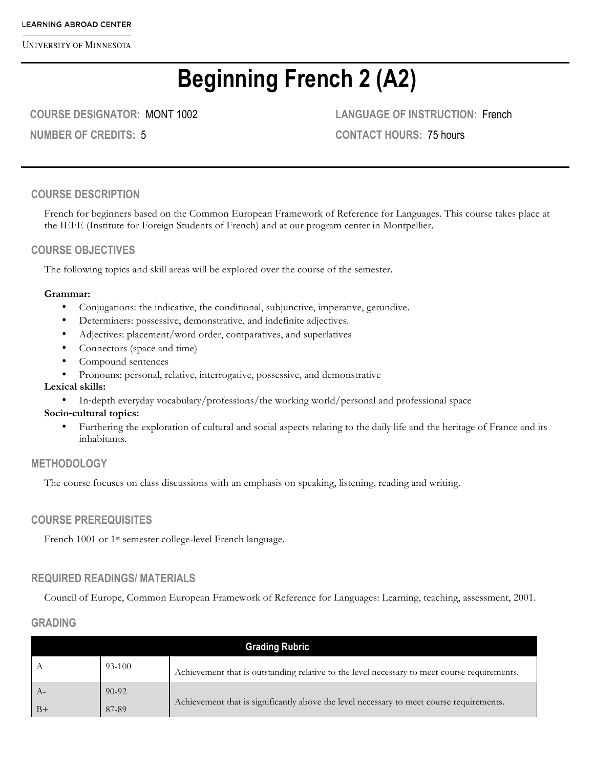**UNIVERSITY OF MINNESOTA** 

# **Beginning French 2 (A2)**

**COURSE DESIGNATOR:** MONT 1002

**NUMBER OF CREDITS:** 5

**LANGUAGE OF INSTRUCTION:** French **CONTACT HOURS:** 75 hours

## **COURSE DESCRIPTION**

French for beginners based on the Common European Framework of Reference for Languages. This course takes place at the IEFE (Institute for Foreign Students of French) and at our program center in Montpellier.

## **COURSE OBJECTIVES**

The following topics and skill areas will be explored over the course of the semester.

#### **Grammar:**

- Conjugations: the indicative, the conditional, subjunctive, imperative, gerundive.
- Determiners: possessive, demonstrative, and indefinite adjectives.
- Adjectives: placement/word order, comparatives, and superlatives
- Connectors (space and time)
- Compound sentences
- Pronouns: personal, relative, interrogative, possessive, and demonstrative

#### **Lexical skills:**

• In-depth everyday vocabulary/professions/the working world/personal and professional space

#### **Socio-cultural topics:**

• Furthering the exploration of cultural and social aspects relating to the daily life and the heritage of France and its inhabitants.

## **METHODOLOGY**

The course focuses on class discussions with an emphasis on speaking, listening, reading and writing.

## **COURSE PREREQUISITES**

French 1001 or 1<sup>st</sup> semester college-level French language.

# **REQUIRED READINGS/ MATERIALS**

Council of Europe, Common European Framework of Reference for Languages: Learning, teaching, assessment, 2001.

## **GRADING**

| <b>Grading Rubric</b> |           |                                                                                              |  |  |
|-----------------------|-----------|----------------------------------------------------------------------------------------------|--|--|
|                       | 93-100    | Achievement that is outstanding relative to the level necessary to meet course requirements. |  |  |
| $-A-$                 | $90 - 92$ |                                                                                              |  |  |
| $-B+$                 | 87-89     | Achievement that is significantly above the level necessary to meet course requirements.     |  |  |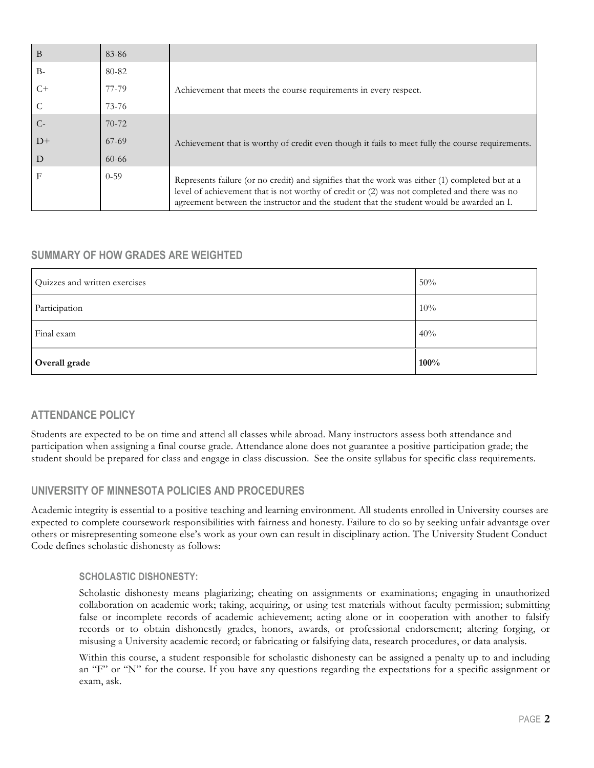| B    | 83-86     |                                                                                                                                                                                                                                                                                            |  |
|------|-----------|--------------------------------------------------------------------------------------------------------------------------------------------------------------------------------------------------------------------------------------------------------------------------------------------|--|
| $B-$ | 80-82     |                                                                                                                                                                                                                                                                                            |  |
| $C+$ | 77-79     | Achievement that meets the course requirements in every respect.                                                                                                                                                                                                                           |  |
|      | 73-76     |                                                                                                                                                                                                                                                                                            |  |
| $C-$ | $70 - 72$ |                                                                                                                                                                                                                                                                                            |  |
| $D+$ | 67-69     | Achievement that is worthy of credit even though it fails to meet fully the course requirements.                                                                                                                                                                                           |  |
| D    | $60 - 66$ |                                                                                                                                                                                                                                                                                            |  |
| F    | $0 - 59$  | Represents failure (or no credit) and signifies that the work was either (1) completed but at a<br>level of achievement that is not worthy of credit or (2) was not completed and there was no<br>agreement between the instructor and the student that the student would be awarded an I. |  |

# **SUMMARY OF HOW GRADES ARE WEIGHTED**

| Quizzes and written exercises | 50%  |
|-------------------------------|------|
| Participation                 | 10%  |
| Final exam                    | 40%  |
| Overall grade                 | 100% |

# **ATTENDANCE POLICY**

Students are expected to be on time and attend all classes while abroad. Many instructors assess both attendance and participation when assigning a final course grade. Attendance alone does not guarantee a positive participation grade; the student should be prepared for class and engage in class discussion. See the onsite syllabus for specific class requirements.

# **UNIVERSITY OF MINNESOTA POLICIES AND PROCEDURES**

Academic integrity is essential to a positive teaching and learning environment. All students enrolled in University courses are expected to complete coursework responsibilities with fairness and honesty. Failure to do so by seeking unfair advantage over others or misrepresenting someone else's work as your own can result in disciplinary action. The University Student Conduct Code defines scholastic dishonesty as follows:

#### **SCHOLASTIC DISHONESTY:**

Scholastic dishonesty means plagiarizing; cheating on assignments or examinations; engaging in unauthorized collaboration on academic work; taking, acquiring, or using test materials without faculty permission; submitting false or incomplete records of academic achievement; acting alone or in cooperation with another to falsify records or to obtain dishonestly grades, honors, awards, or professional endorsement; altering forging, or misusing a University academic record; or fabricating or falsifying data, research procedures, or data analysis.

Within this course, a student responsible for scholastic dishonesty can be assigned a penalty up to and including an "F" or "N" for the course. If you have any questions regarding the expectations for a specific assignment or exam, ask.